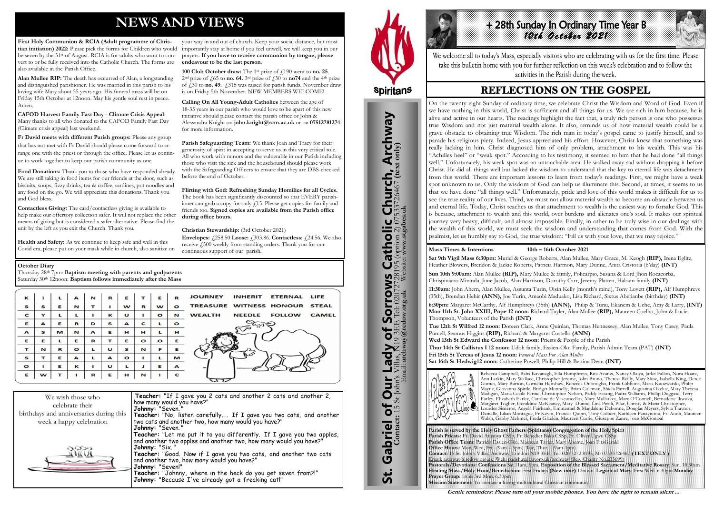# **NEWS AND VIEWS**

**First Holy Communion & RCIA (Adult programme of Christian initiation) 2022:** Please pick the forms for Children who would be seven by the 31st of August. RCIA is for adults who want to convert to or be fully received into the Catholic Church. The forms are also available in the Parish Office.

**Alan Mullee RIP:** The death has occurred of Alan, a longstanding and distinguished parishioner. He was married in this parish to his loving wife Mary about 55 years ago. His funeral mass will be on Friday 15th October at 12noon. May his gentle soul rest in peace. Amen.

Food Donations: Thank you to those who have responded already We are still taking in food items for our friends at the door, such as biscuits, soups, fizzy drinks, tea & coffee, sardines, pot noodles and any food on the go. We will appreciate this donations. Thank you and God bless.

**CAFOD Harvest Family Fast Day - Climate Crisis Appeal**: Many thanks to all who donated to the CAFOD Family Fast Day (Climate crisis appeal) last weekend.

**Fr David meets with different Parish groups:** Please any group that has not met with Fr David should please come forward to arrange one with the priest or through the office. Please let us continue to work together to keep our parish community as one.

**100 Club October draw:** The 1<sup>st</sup> prize of  $\ell$ 190 went to **no. 25**. <sup>2nd</sup> prize of  $\frac{1}{65}$  to **no. 64.** 3<sup>rd</sup> prize of  $\frac{1}{30}$  to **no74** and the 4<sup>th</sup> prize of  $\hat{f}$  30 to **no. 49**.  $\hat{f}$  315 was raised for parish funds. November draw is on Friday 5th November. NEW MEMBERS WELCOME!

**Contactless Giving:** The card/contactless giving is available to help make our offertory collection safer. It will not replace the other means of giving but is considered a safer alternative. Please find the unit by the left as you exit the Church. Thank you.

**Health and Safety:** As we continue to keep safe and well in this Covid era, please put on your mask while in church, also sanitize on **Envelopes:**  $\angle 258.50$  **Loose:**  $\angle 303.86$ . **Contactless:**  $\angle 24.56$ . We also receive  $\dot{f}_1$ 500 weekly from standing orders. Thank you for our continuous support of our parish.

your way in and out of church. Keep your social distance, but most importantly stay at home if you feel unwell, we will keep you in our prayers. **If you have to receive communion by tongue, please endeavour to be the last person**.

Thursday 28th 7pm: **Baptism meeting with parents and godparents** Saturday 30<sup>th</sup> 12noon: **Baptism follows immediately after the Mass** 

| к            |   |   | A         | N | R            | Е       |         | Е         | R            | JOURNEY INHERIT<br><b>ETERNAL LIFE</b>                          |
|--------------|---|---|-----------|---|--------------|---------|---------|-----------|--------------|-----------------------------------------------------------------|
| $\mathbf{s}$ | S | Е | N         | т |              | w       | R       | w         | $\circ$      | TREASURE WITNESS HONOUR STEAL                                   |
| $\mathbf{C}$ | Y |   |           |   | ĸ            | U       |         | $\bullet$ | N            | <b>NEEDLE</b><br><b>WEALTH</b><br><b>FOLLOW</b><br><b>CAMEL</b> |
| Е            | A | Е | R         | D | S            | A       | C       |           | $\bullet$    |                                                                 |
| $\mathbf{A}$ | S | M | N         | A | Е            | н       | н       |           | н            |                                                                 |
| Е            | Е | L | Е         | R | т            | Е       | $\circ$ | $\bullet$ | Е            |                                                                 |
| т            | N | R | $\bullet$ |   | U            | s       | N       | F         | Е            |                                                                 |
| S            | т | Е | A         |   | $\mathbf{A}$ | $\circ$ |         |           | M            |                                                                 |
| $\circ$      | п | Е | к         |   | U            |         |         | Е         | $\mathbf{A}$ |                                                                 |
| Е            | w | т |           | R | Е            | н       | N       |           | C            |                                                                 |

# +28th Sunday In Ordinary Time Year B *10th October 2021*

We welcome all to today's Mass, especially visitors who are celebrating with us for the first time. Please take this bulletin home with you for further reflection on this week's celebration and to follow the activities in the Parish during the week.

# **REFLECTIONS ON THE GOSPEL**

**Calling On All Young-Adult Catholics** between the age of 18-35 years in our parish who would love to be apart of this new initiative should please contact the parish office or John & Alessandra Knight on **john.knight@rcm.ac.uk** or on **07512781274** for more information.

**Parish Safeguarding Team:** We thank Joan and Tracy for their generosity of spirit in accepting to serve us in this very critical role. All who work with minors and the vulnerable in our Parish including those who visit the sick and the housebound should please work with the Safeguarding Officers to ensure that they are DBS-checked before the end of October.

**Flirting with God: Refreshing Sunday Homilies for all Cycles.**  The book has been significantly discounted so that EVERY parishioner can grab a copy for only  $\angle 15$ . Please get copies for family and friends too. **Signed copies are available from the Parish office during office hours.**

**Christian Stewardship:** (3rd October 2021)

| We wish those who                       | Teacher: "If I gave you 2 cats and another 2 cats and another 2,                                                           |
|-----------------------------------------|----------------------------------------------------------------------------------------------------------------------------|
| celebrate their                         | how many would you have?"                                                                                                  |
|                                         | Johnny: "Seven."                                                                                                           |
| birthdays and anniversaries during this |                                                                                                                            |
| week a happy celebration                | Teacher: "No, listen carefully If I gave you two cats, and another<br> two cats and another two, how many would you have?" |
|                                         | Johnny: "Seven."                                                                                                           |
|                                         | Teacher: "Let me put it to you differently. If I gave you two apples,                                                      |
|                                         | and another two apples and another two, how many would you have?"                                                          |
|                                         | Johnny: "Six."                                                                                                             |
|                                         | Teacher: "Good. Now if I gave you two cats, and another two cats                                                           |
|                                         | and another two, how many would you have?"                                                                                 |
|                                         | <b>Johnny: "</b> Seven!"                                                                                                   |
|                                         | Teacher: "Johnny, where in the heck do you get seven from?!"                                                               |
|                                         | Johnny: "Because I've already got a freaking cat!"                                                                         |



St. Gabriel of Our Lady of Sorrows Catholic Church, Archway

**Sorrows**<br>E Tel: 020727281

Our Lady of Sorro

Gabriel of Our

<u>ჭ</u>

**IS Catholic Church, Archway**<br>28195 (option 2) 07533726467 (text only)

#### **October Diary**

**Parish is served by the Holy Ghost Fathers (Spiritans) Congregation of the Holy Spirit Parish Priests:** Fr. David Atuanya CSSp, Fr. Benedict Baka CSSp, Fr. Oliver Ugwu CSSp **Parish Office Team:** Patricia Essien-Oku, Maureen Tayler, Mary Aherne, Joan FitzGerald **Office Hours:** Mon, Wed, Fri. -(9am – 3pm). Tue, Thur. - (9am-1pm) Email: archway@rcdow.org.uk Web: parish.rcdow.org.uk/archway (Reg. Charity No.233699) **Prayer Group**: 1st & 3rd Mon. 6.30pm **Mission Statement:** To animate a loving multicultural Christian community



**Contact:** 15 St John's Villas, N19 3EE Tel: 02072728195 (option 2) 07533726467 **(text only)** Email: **archway@rcdow.org.uk** Website**: www.stgabes.uk**

#### **Mass Times & Intentions 10th – 16th October 2021**

**Sat 9th Vigil Mass 6:30pm:** Muriel & George Roberts, Alan Mullee, Mary Grace, M. Keogh **(RIP),** Irena Eglite, Heather Blowers, Brendon & Jackie Roberts, Patricia Harmon, Mary Dunne, Anita Cristoria (b'day) **(INT) Sun 10th 9:00am:** Alan Mullee **(RIP),** Mary Mullee & family, Policarpio, Susana & Lord Jhon Rocacorba, Chrispiniano Miranda, June Jacob, Alan Harrison, Dorothy Carr, Jeremy Platten, Halsam family **(INT) 11:30am:** John Ahern, Alan Mullee, Assunta Turin, Oisin Kelly (month's mind), Tony Lovett **(RIP),** Alf Humphreys **6:30pm:** Margaret McCarthy, Alf Humphreys (35th) **(ANN),** Philip & Tunu, Ekanem & Uche, Amy & Larry, **(INT)**

(35th), Brendan Hehir **(ANN),** Joe Turin, Amaobi Maduako, Lisa Richard, Sixtus Abetianbe (birthday) **(INT) Mon 11th St. John XXIII, Pope 12 noon:** Richard Tayler, Alan Mullee **(RIP),** Maureen Coelho, John & Lucie Thompson, Volunteers of the Parish **(INT) Tue 12th St Wilfred 12 noon:** Doreen Clark, Anne Quinlan, Thomas Hennessey, Alan Mullee, Tony Casey, Paula Purcell, Seamus Higgins **(RIP),** Richard & Margaret Costello **(ANN)**  Wed 13th St Edward the Confessor 12 noon: Priests & People of the Parish **Thur 14th St Callistus I 12 noon:** Udoh family, Essien-Oku Family, Parish Admin Team (PAT) **(INT) Fri 15th St Teresa of Jesus 12 noon:** *Funeral Mass For Alan Mullee* **Sat 16th St Hedwig12 noon:** Catherine Powell, Philip Hill & Bettina Dean **(INT)**



Rebecca Campbell, Babs Kavanagh, Ella Humphreys, Rita Avanzi, Nancy Olaiya, Jarlet Fallon, Nora Hoare, Ann Larkin, Mary Wallace, Christopher Jerome, John Bruno, Theresa Reilly, Mary Slow, Isabella King, Derek Gomes, Mary Burton, Cornelia Henshaw, Rebecca Ononogbo, Frank Gibbons, Maria Kuozwatski, Philip Mayne, Giovanna Spittle, Bridget Munnelly, Brian Coleman, Shiela Farrell, Augustina Okelue, Mary Theresa Madigan, Maria Cecile Perine, Christopher Nelson, Paddy Essang, Padra Williams, Phillip Duggase, Terry Earley, Elizabeth Earley, Caroline de Vasconcellos, Mary Mullarkey, Mary O'Connell, Bernadette Ikwuka, Margaret Togher, Geraldine McKeaney, Mary Dunne, Lina Piroli, Pilar, Christy & Maria Christopher, Lourdes Sisneros, Angela Fairbank, Emmanuel & Magdalene Debonne, Douglas Meyers, Sylvia Traynor, Danielle, Lilian Montague, Fr Kevin, Frances Quinn, Tony Colbert, Kathleen Panayiotou, Fr. Aodh, Maureen Walsh, Gabby Mehmet, Freda Glackin, Maureen Currie, Giuseppe Zanre, Joan McGonigal

**Gentle reminders: Please turn off your mobile phones. You have the right to remain silent ...** 

On the twenty-eight Sunday of ordinary time, we celebrate Christ the Wisdom and Word of God. Even if we have nothing in this world, Christ is sufficient and all things for us. We are rich in him because, he is alive and active in our hearts. The readings highlight the fact that, a truly rich person is one who possesses true Wisdom and not just material wealth alone. It also, reminds us of how material wealth could be a grave obstacle to obtaining true Wisdom. The rich man in today's gospel came to justify himself, and to parade his religious piety. Indeed, Jesus appreciated his effort. However, Christ knew that something was really lacking in him. Christ diagnosed him of only problem, attachment to his wealth. This was his "Achilles heel" or "weak spot." According to his testimony, it seemed to him that he had done "all things well." Unfortunately, his weak spot was an untouchable area. He walked away sad without dropping it before Christ. He did all things well but lacked the wisdom to understand that the key to eternal life was detachment from this world. There are important lessons to learn from today's readings. First, we might have a weak spot unknown to us. Only the wisdom of God can help us illuminate this. Second, at times, it seems to us that we have done "all things well." Unfortunately, pride and love of this world makes it difficult for us to see the true reality of our lives. Third, we must not allow material wealth to become an obstacle between us and eternal life. Today, Christ teaches us that attachment to wealth is the easiest way to forsake God. This is because, attachment to wealth and this world, over burdens and alienates one's soul. It makes our spiritual journey very heavy, difficult, and almost impossible. Finally, in other to be truly wise in our dealings with the wealth of this world, we must seek the wisdom and understanding that comes from God. With the psalmist, let us humbly say to God, the true wisdom: "Fill us with your love, that we may rejoice."